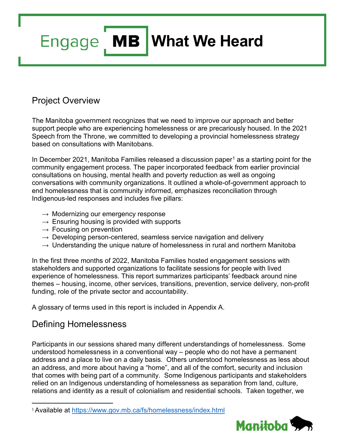# **Engage** MB What We Heard

# Project Overview

The Manitoba government recognizes that we need to improve our approach and better support people who are experiencing homelessness or are precariously housed. In the 2021 Speech from the Throne, we committed to developing a provincial homelessness strategy based on consultations with Manitobans.

In December 202[1](#page-0-0), Manitoba Families released a discussion paper<sup>1</sup> as a starting point for the community engagement process. The paper incorporated feedback from earlier provincial consultations on housing, mental health and poverty reduction as well as ongoing conversations with community organizations. It outlined a whole-of-government approach to end homelessness that is community informed, emphasizes reconciliation through Indigenous-led responses and includes five pillars:

- $\rightarrow$  Modernizing our emergency response
- $\rightarrow$  Ensuring housing is provided with supports
- $\rightarrow$  Focusing on prevention
- $\rightarrow$  Developing person-centered, seamless service navigation and delivery
- $\rightarrow$  Understanding the unique nature of homelessness in rural and northern Manitoba

In the first three months of 2022, Manitoba Families hosted engagement sessions with stakeholders and supported organizations to facilitate sessions for people with lived experience of homelessness. This report summarizes participants' feedback around nine themes – housing, income, other services, transitions, prevention, service delivery, non-profit funding, role of the private sector and accountability.

A glossary of terms used in this report is included in Appendix A.

# Defining Homelessness

Participants in our sessions shared many different understandings of homelessness. Some understood homelessness in a conventional way – people who do not have a permanent address and a place to live on a daily basis. Others understood homelessness as less about an address, and more about having a "home", and all of the comfort, security and inclusion that comes with being part of a community. Some Indigenous participants and stakeholders relied on an Indigenous understanding of homelessness as separation from land, culture, relations and identity as a result of colonialism and residential schools. Taken together, we

<span id="page-0-0"></span> <sup>1</sup> Available at <https://www.gov.mb.ca/fs/homelessness/index.html>

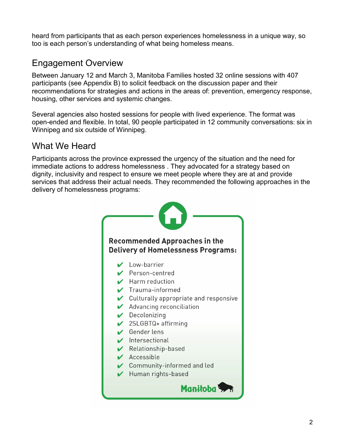heard from participants that as each person experiences homelessness in a unique way, so too is each person's understanding of what being homeless means.

# Engagement Overview

Between January 12 and March 3, Manitoba Families hosted 32 online sessions with 407 participants (see Appendix B) to solicit feedback on the discussion paper and their recommendations for strategies and actions in the areas of: prevention, emergency response, housing, other services and systemic changes.

Several agencies also hosted sessions for people with lived experience. The format was open-ended and flexible. In total, 90 people participated in 12 community conversations: six in Winnipeg and six outside of Winnipeg.

# What We Heard

Participants across the province expressed the urgency of the situation and the need for immediate actions to address homelessness . They advocated for a strategy based on dignity, inclusivity and respect to ensure we meet people where they are at and provide services that address their actual needs. They recommended the following approaches in the delivery of homelessness programs:

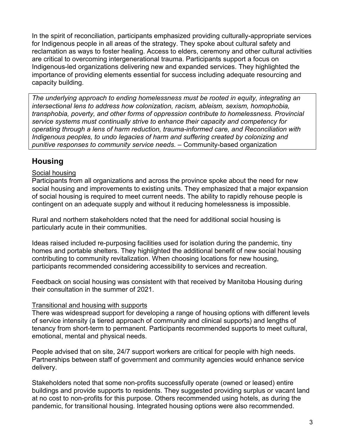In the spirit of reconciliation, participants emphasized providing culturally-appropriate services for Indigenous people in all areas of the strategy. They spoke about cultural safety and reclamation as ways to foster healing. Access to elders, ceremony and other cultural activities are critical to overcoming intergenerational trauma. Participants support a focus on Indigenous-led organizations delivering new and expanded services. They highlighted the importance of providing elements essential for success including adequate resourcing and capacity building.

*The underlying approach to ending homelessness must be rooted in equity, integrating an intersectional lens to address how colonization, racism, ableism, sexism, homophobia, transphobia, poverty, and other forms of oppression contribute to homelessness. Provincial service systems must continually strive to enhance their capacity and competency for operating through a lens of harm reduction, trauma-informed care, and Reconciliation with Indigenous peoples, to undo legacies of harm and suffering created by colonizing and punitive responses to community service needs.* – Community-based organization

## **Housing**

#### Social housing

Participants from all organizations and across the province spoke about the need for new social housing and improvements to existing units. They emphasized that a major expansion of social housing is required to meet current needs. The ability to rapidly rehouse people is contingent on an adequate supply and without it reducing homelessness is impossible.

Rural and northern stakeholders noted that the need for additional social housing is particularly acute in their communities.

Ideas raised included re-purposing facilities used for isolation during the pandemic, tiny homes and portable shelters. They highlighted the additional benefit of new social housing contributing to community revitalization. When choosing locations for new housing, participants recommended considering accessibility to services and recreation.

Feedback on social housing was consistent with that received by Manitoba Housing during their consultation in the summer of 2021.

#### Transitional and housing with supports

There was widespread support for developing a range of housing options with different levels of service intensity (a tiered approach of community and clinical supports) and lengths of tenancy from short-term to permanent. Participants recommended supports to meet cultural, emotional, mental and physical needs.

People advised that on site, 24/7 support workers are critical for people with high needs. Partnerships between staff of government and community agencies would enhance service delivery.

Stakeholders noted that some non-profits successfully operate (owned or leased) entire buildings and provide supports to residents. They suggested providing surplus or vacant land at no cost to non-profits for this purpose. Others recommended using hotels, as during the pandemic, for transitional housing. Integrated housing options were also recommended.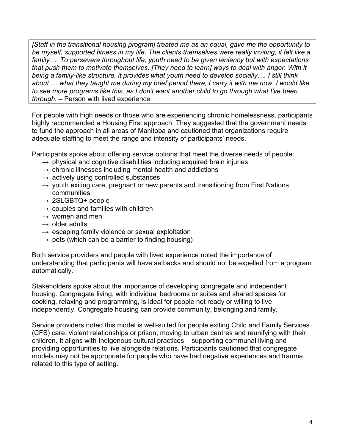*[Staff in the transitional housing program] treated me as an equal, gave me the opportunity to be myself, supported fitness in my life. The clients themselves were really inviting; it felt like a family…. To persevere throughout life, youth need to be given leniency but with expectations that push them to motivate themselves. [They need to learn] ways to deal with anger. With it being a family-like structure, it provides what youth need to develop socially…. I still think about … what they taught me during my brief period there, I carry it with me now. I would like to see more programs like this, as I don't want another child to go through what I've been through.* – Person with lived experience

For people with high needs or those who are experiencing chronic homelessness, participants highly recommended a Housing First approach. They suggested that the government needs to fund the approach in all areas of Manitoba and cautioned that organizations require adequate staffing to meet the range and intensity of participants' needs.

Participants spoke about offering service options that meet the diverse needs of people:

- $\rightarrow$  physical and cognitive disabilities including acquired brain injuries
- $\rightarrow$  chronic illnesses including mental health and addictions
- $\rightarrow$  actively using controlled substances
- $\rightarrow$  youth exiting care, pregnant or new parents and transitioning from First Nations communities
- $\rightarrow$  2SLGBTQ+ people
- $\rightarrow$  couples and families with children
- $\rightarrow$  women and men
- $\rightarrow$  older adults
- $\rightarrow$  escaping family violence or sexual exploitation
- $\rightarrow$  pets (which can be a barrier to finding housing)

Both service providers and people with lived experience noted the importance of understanding that participants will have setbacks and should not be expelled from a program automatically.

Stakeholders spoke about the importance of developing congregate and independent housing. Congregate living, with individual bedrooms or suites and shared spaces for cooking, relaxing and programming, is ideal for people not ready or willing to live independently. Congregate housing can provide community, belonging and family.

Service providers noted this model is well-suited for people exiting Child and Family Services (CFS) care, violent relationships or prison, moving to urban centres and reunifying with their children. It aligns with Indigenous cultural practices – supporting communal living and providing opportunities to live alongside relations. Participants cautioned that congregate models may not be appropriate for people who have had negative experiences and trauma related to this type of setting.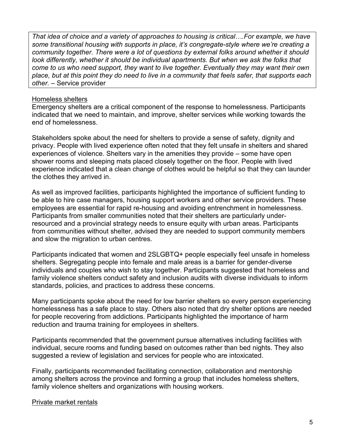*That idea of choice and a variety of approaches to housing is critical….For example, we have some transitional housing with supports in place, it's congregate-style where we're creating a community together. There were a lot of questions by external folks around whether it should*  look differently, whether it should be individual apartments. But when we ask the folks that *come to us who need support, they want to live together. Eventually they may want their own place, but at this point they do need to live in a community that feels safer, that supports each other.* – Service provider

#### Homeless shelters

Emergency shelters are a critical component of the response to homelessness. Participants indicated that we need to maintain, and improve, shelter services while working towards the end of homelessness.

Stakeholders spoke about the need for shelters to provide a sense of safety, dignity and privacy. People with lived experience often noted that they felt unsafe in shelters and shared experiences of violence. Shelters vary in the amenities they provide – some have open shower rooms and sleeping mats placed closely together on the floor. People with lived experience indicated that a clean change of clothes would be helpful so that they can launder the clothes they arrived in.

As well as improved facilities, participants highlighted the importance of sufficient funding to be able to hire case managers, housing support workers and other service providers. These employees are essential for rapid re-housing and avoiding entrenchment in homelessness. Participants from smaller communities noted that their shelters are particularly underresourced and a provincial strategy needs to ensure equity with urban areas. Participants from communities without shelter, advised they are needed to support community members and slow the migration to urban centres.

Participants indicated that women and 2SLGBTQ+ people especially feel unsafe in homeless shelters. Segregating people into female and male areas is a barrier for gender-diverse individuals and couples who wish to stay together. Participants suggested that homeless and family violence shelters conduct safety and inclusion audits with diverse individuals to inform standards, policies, and practices to address these concerns.

Many participants spoke about the need for low barrier shelters so every person experiencing homelessness has a safe place to stay. Others also noted that dry shelter options are needed for people recovering from addictions. Participants highlighted the importance of harm reduction and trauma training for employees in shelters.

Participants recommended that the government pursue alternatives including facilities with individual, secure rooms and funding based on outcomes rather than bed nights. They also suggested a review of legislation and services for people who are intoxicated.

Finally, participants recommended facilitating connection, collaboration and mentorship among shelters across the province and forming a group that includes homeless shelters, family violence shelters and organizations with housing workers.

#### Private market rentals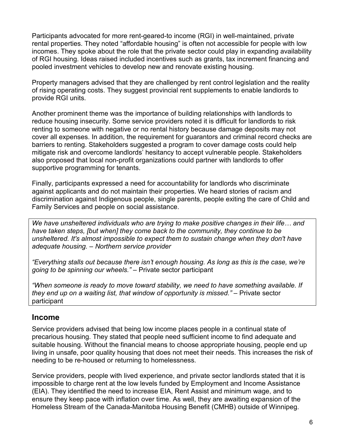Participants advocated for more rent-geared-to income (RGI) in well-maintained, private rental properties. They noted "affordable housing" is often not accessible for people with low incomes. They spoke about the role that the private sector could play in expanding availability of RGI housing. Ideas raised included incentives such as grants, tax increment financing and pooled investment vehicles to develop new and renovate existing housing.

Property managers advised that they are challenged by rent control legislation and the reality of rising operating costs. They suggest provincial rent supplements to enable landlords to provide RGI units.

Another prominent theme was the importance of building relationships with landlords to reduce housing insecurity. Some service providers noted it is difficult for landlords to risk renting to someone with negative or no rental history because damage deposits may not cover all expenses. In addition, the requirement for guarantors and criminal record checks are barriers to renting. Stakeholders suggested a program to cover damage costs could help mitigate risk and overcome landlords' hesitancy to accept vulnerable people. Stakeholders also proposed that local non-profit organizations could partner with landlords to offer supportive programming for tenants.

Finally, participants expressed a need for accountability for landlords who discriminate against applicants and do not maintain their properties. We heard stories of racism and discrimination against Indigenous people, single parents, people exiting the care of Child and Family Services and people on social assistance.

*We have unsheltered individuals who are trying to make positive changes in their life… and have taken steps, [but when] they come back to the community, they continue to be unsheltered. It's almost impossible to expect them to sustain change when they don't have adequate housing. – Northern service provider*

*"Everything stalls out because there isn't enough housing. As long as this is the case, we're going to be spinning our wheels."* – Private sector participant

*"When someone is ready to move toward stability, we need to have something available. If they end up on a waiting list, that window of opportunity is missed."* – Private sector participant

#### **Income**

Service providers advised that being low income places people in a continual state of precarious housing. They stated that people need sufficient income to find adequate and suitable housing. Without the financial means to choose appropriate housing, people end up living in unsafe, poor quality housing that does not meet their needs. This increases the risk of needing to be re-housed or returning to homelessness.

Service providers, people with lived experience, and private sector landlords stated that it is impossible to charge rent at the low levels funded by Employment and Income Assistance (EIA). They identified the need to increase EIA, Rent Assist and minimum wage, and to ensure they keep pace with inflation over time. As well, they are awaiting expansion of the Homeless Stream of the Canada-Manitoba Housing Benefit (CMHB) outside of Winnipeg.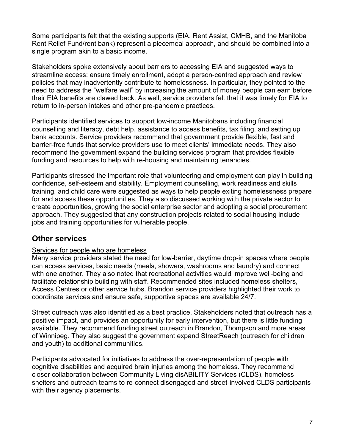Some participants felt that the existing supports (EIA, Rent Assist, CMHB, and the Manitoba Rent Relief Fund/rent bank) represent a piecemeal approach, and should be combined into a single program akin to a basic income.

Stakeholders spoke extensively about barriers to accessing EIA and suggested ways to streamline access: ensure timely enrollment, adopt a person-centred approach and review policies that may inadvertently contribute to homelessness. In particular, they pointed to the need to address the "welfare wall" by increasing the amount of money people can earn before their EIA benefits are clawed back. As well, service providers felt that it was timely for EIA to return to in-person intakes and other pre-pandemic practices.

Participants identified services to support low-income Manitobans including financial counselling and literacy, debt help, assistance to access benefits, tax filing, and setting up bank accounts. Service providers recommend that government provide flexible, fast and barrier-free funds that service providers use to meet clients' immediate needs. They also recommend the government expand the building services program that provides flexible funding and resources to help with re-housing and maintaining tenancies.

Participants stressed the important role that volunteering and employment can play in building confidence, self-esteem and stability. Employment counselling, work readiness and skills training, and child care were suggested as ways to help people exiting homelessness prepare for and access these opportunities. They also discussed working with the private sector to create opportunities, growing the social enterprise sector and adopting a social procurement approach. They suggested that any construction projects related to social housing include jobs and training opportunities for vulnerable people.

### **Other services**

#### Services for people who are homeless

Many service providers stated the need for low-barrier, daytime drop-in spaces where people can access services, basic needs (meals, showers, washrooms and laundry) and connect with one another. They also noted that recreational activities would improve well-being and facilitate relationship building with staff. Recommended sites included homeless shelters, Access Centres or other service hubs. Brandon service providers highlighted their work to coordinate services and ensure safe, supportive spaces are available 24/7.

Street outreach was also identified as a best practice. Stakeholders noted that outreach has a positive impact, and provides an opportunity for early intervention, but there is little funding available. They recommend funding street outreach in Brandon, Thompson and more areas of Winnipeg. They also suggest the government expand StreetReach (outreach for children and youth) to additional communities.

Participants advocated for initiatives to address the over-representation of people with cognitive disabilities and acquired brain injuries among the homeless. They recommend closer collaboration between Community Living disABILITY Services (CLDS), homeless shelters and outreach teams to re-connect disengaged and street-involved CLDS participants with their agency placements.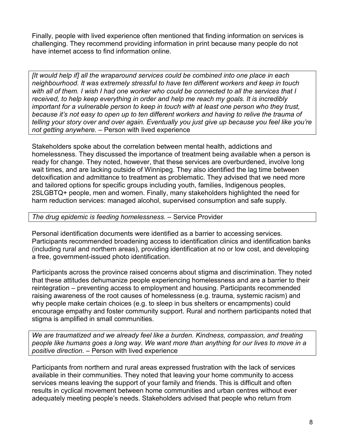Finally, people with lived experience often mentioned that finding information on services is challenging. They recommend providing information in print because many people do not have internet access to find information online.

*[It would help if] all the wraparound services could be combined into one place in each neighbourhood. It was extremely stressful to have ten different workers and keep in touch with all of them. I wish I had one worker who could be connected to all the services that I received, to help keep everything in order and help me reach my goals. It is incredibly important for a vulnerable person to keep in touch with at least one person who they trust, because it's not easy to open up to ten different workers and having to relive the trauma of telling your story over and over again. Eventually you just give up because you feel like you're not getting anywhere.* – Person with lived experience

Stakeholders spoke about the correlation between mental health, addictions and homelessness. They discussed the importance of treatment being available when a person is ready for change. They noted, however, that these services are overburdened, involve long wait times, and are lacking outside of Winnipeg. They also identified the lag time between detoxification and admittance to treatment as problematic. They advised that we need more and tailored options for specific groups including youth, families, Indigenous peoples, 2SLGBTQ+ people, men and women. Finally, many stakeholders highlighted the need for harm reduction services: managed alcohol, supervised consumption and safe supply.

#### *The drug epidemic is feeding homelessness.* – Service Provider

Personal identification documents were identified as a barrier to accessing services. Participants recommended broadening access to identification clinics and identification banks (including rural and northern areas), providing identification at no or low cost, and developing a free, government-issued photo identification.

Participants across the province raised concerns about stigma and discrimination. They noted that these attitudes dehumanize people experiencing homelessness and are a barrier to their reintegration – preventing access to employment and housing. Participants recommended raising awareness of the root causes of homelessness (e.g. trauma, systemic racism) and why people make certain choices (e.g. to sleep in bus shelters or encampments) could encourage empathy and foster community support. Rural and northern participants noted that stigma is amplified in small communities.

*We are traumatized and we already feel like a burden. Kindness, compassion, and treating people like humans goes a long way. We want more than anything for our lives to move in a positive direction.* – Person with lived experience

Participants from northern and rural areas expressed frustration with the lack of services available in their communities. They noted that leaving your home community to access services means leaving the support of your family and friends. This is difficult and often results in cyclical movement between home communities and urban centres without ever adequately meeting people's needs. Stakeholders advised that people who return from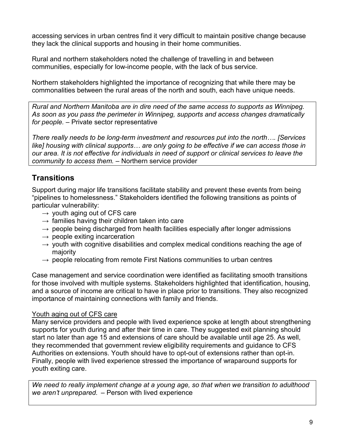accessing services in urban centres find it very difficult to maintain positive change because they lack the clinical supports and housing in their home communities.

Rural and northern stakeholders noted the challenge of travelling in and between communities, especially for low-income people, with the lack of bus service.

Northern stakeholders highlighted the importance of recognizing that while there may be commonalities between the rural areas of the north and south, each have unique needs.

*Rural and Northern Manitoba are in dire need of the same access to supports as Winnipeg. As soon as you pass the perimeter in Winnipeg, supports and access changes dramatically for people.* – Private sector representative

*There really needs to be long-term investment and resources put into the north…. [Services like] housing with clinical supports… are only going to be effective if we can access those in our area. It is not effective for individuals in need of support or clinical services to leave the community to access them.* – Northern service provider

# **Transitions**

Support during major life transitions facilitate stability and prevent these events from being "pipelines to homelessness." Stakeholders identified the following transitions as points of particular vulnerability:

- $\rightarrow$  youth aging out of CFS care
- $\rightarrow$  families having their children taken into care
- $\rightarrow$  people being discharged from health facilities especially after longer admissions
- $\rightarrow$  people exiting incarceration
- $\rightarrow$  youth with cognitive disabilities and complex medical conditions reaching the age of majority
- $\rightarrow$  people relocating from remote First Nations communities to urban centres

Case management and service coordination were identified as facilitating smooth transitions for those involved with multiple systems. Stakeholders highlighted that identification, housing, and a source of income are critical to have in place prior to transitions. They also recognized importance of maintaining connections with family and friends.

#### Youth aging out of CFS care

Many service providers and people with lived experience spoke at length about strengthening supports for youth during and after their time in care. They suggested exit planning should start no later than age 15 and extensions of care should be available until age 25. As well, they recommended that government review eligibility requirements and guidance to CFS Authorities on extensions. Youth should have to opt-out of extensions rather than opt-in. Finally, people with lived experience stressed the importance of wraparound supports for youth exiting care.

*We need to really implement change at a young age, so that when we transition to adulthood we aren't unprepared.* – Person with lived experience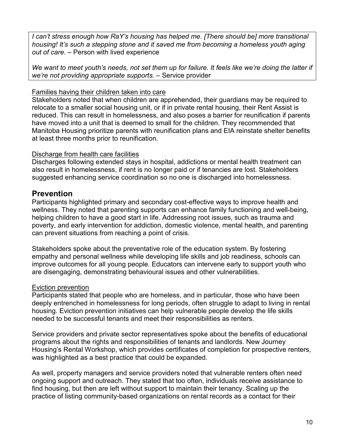*I can't stress enough how RaY's housing has helped me. [There should be] more transitional housing! It's such a stepping stone and it saved me from becoming a homeless youth aging out of care.* – Person with lived experience

*We want to meet youth's needs, not set them up for failure. It feels like we're doing the latter if we're not providing appropriate supports.* – Service provider

#### Families having their children taken into care

Stakeholders noted that when children are apprehended, their guardians may be required to relocate to a smaller social housing unit, or if in private rental housing, their Rent Assist is reduced. This can result in homelessness, and also poses a barrier for reunification if parents have moved into a unit that is deemed to small for the children. They recommended that Manitoba Housing prioritize parents with reunification plans and EIA reinstate shelter benefits at least three months prior to reunification.

#### Discharge from health care facilities

Discharges following extended stays in hospital, addictions or mental health treatment can also result in homelessness, if rent is no longer paid or if tenancies are lost. Stakeholders suggested enhancing service coordination so no one is discharged into homelessness.

#### **Prevention**

Participants highlighted primary and secondary cost-effective ways to improve health and wellness. They noted that parenting supports can enhance family functioning and well-being, helping children to have a good start in life. Addressing root issues, such as trauma and poverty, and early intervention for addiction, domestic violence, mental health, and parenting can prevent situations from reaching a point of crisis.

Stakeholders spoke about the preventative role of the education system. By fostering empathy and personal wellness while developing life skills and job readiness, schools can improve outcomes for all young people. Educators can intervene early to support youth who are disengaging, demonstrating behavioural issues and other vulnerabilities.

#### Eviction prevention

Participants stated that people who are homeless, and in particular, those who have been deeply entrenched in homelessness for long periods, often struggle to adapt to living in rental housing. Eviction prevention initiatives can help vulnerable people develop the life skills needed to be successful tenants and meet their responsibilities as renters.

Service providers and private sector representatives spoke about the benefits of educational programs about the rights and responsibilities of tenants and landlords. New Journey Housing's Rental Workshop, which provides certificates of completion for prospective renters, was highlighted as a best practice that could be expanded.

As well, property managers and service providers noted that vulnerable renters often need ongoing support and outreach. They stated that too often, individuals receive assistance to find housing, but then are left without support to maintain their tenancy. Scaling up the practice of listing community-based organizations on rental records as a contact for their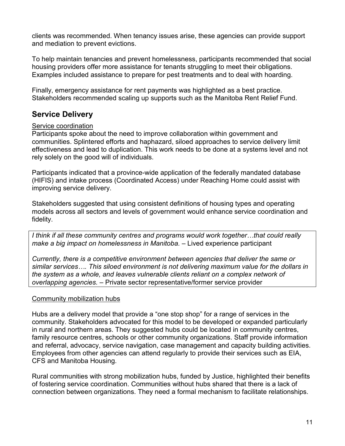clients was recommended. When tenancy issues arise, these agencies can provide support and mediation to prevent evictions.

To help maintain tenancies and prevent homelessness, participants recommended that social housing providers offer more assistance for tenants struggling to meet their obligations. Examples included assistance to prepare for pest treatments and to deal with hoarding.

Finally, emergency assistance for rent payments was highlighted as a best practice. Stakeholders recommended scaling up supports such as the Manitoba Rent Relief Fund.

# **Service Delivery**

#### Service coordination

Participants spoke about the need to improve collaboration within government and communities. Splintered efforts and haphazard, siloed approaches to service delivery limit effectiveness and lead to duplication. This work needs to be done at a systems level and not rely solely on the good will of individuals.

Participants indicated that a province-wide application of the federally mandated database (HIFIS) and intake process (Coordinated Access) under Reaching Home could assist with improving service delivery.

Stakeholders suggested that using consistent definitions of housing types and operating models across all sectors and levels of government would enhance service coordination and fidelity.

*I think if all these community centres and programs would work together…that could really make a big impact on homelessness in Manitoba.* – Lived experience participant

*Currently, there is a competitive environment between agencies that deliver the same or similar services…. This siloed environment is not delivering maximum value for the dollars in the system as a whole, and leaves vulnerable clients reliant on a complex network of overlapping agencies.* – Private sector representative/former service provider

#### Community mobilization hubs

Hubs are a delivery model that provide a "one stop shop" for a range of services in the community. Stakeholders advocated for this model to be developed or expanded particularly in rural and northern areas. They suggested hubs could be located in community centres, family resource centres, schools or other community organizations. Staff provide information and referral, advocacy, service navigation, case management and capacity building activities. Employees from other agencies can attend regularly to provide their services such as EIA, CFS and Manitoba Housing.

Rural communities with strong mobilization hubs, funded by Justice, highlighted their benefits of fostering service coordination. Communities without hubs shared that there is a lack of connection between organizations. They need a formal mechanism to facilitate relationships.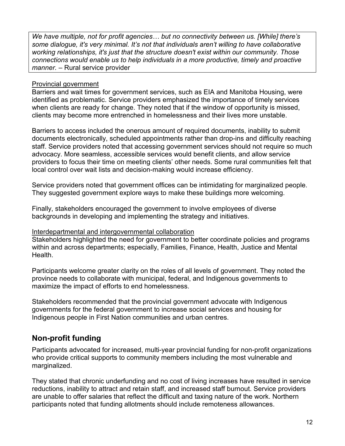*We have multiple, not for profit agencies… but no connectivity between us. [While] there's some dialogue, it's very minimal. It's not that individuals aren't willing to have collaborative working relationships, it's just that the structure doesn't exist within our community. Those connections would enable us to help individuals in a more productive, timely and proactive manner.* – Rural service provider

#### Provincial government

Barriers and wait times for government services, such as EIA and Manitoba Housing, were identified as problematic. Service providers emphasized the importance of timely services when clients are ready for change. They noted that if the window of opportunity is missed, clients may become more entrenched in homelessness and their lives more unstable.

Barriers to access included the onerous amount of required documents, inability to submit documents electronically, scheduled appointments rather than drop-ins and difficulty reaching staff. Service providers noted that accessing government services should not require so much advocacy. More seamless, accessible services would benefit clients, and allow service providers to focus their time on meeting clients' other needs. Some rural communities felt that local control over wait lists and decision-making would increase efficiency.

Service providers noted that government offices can be intimidating for marginalized people. They suggested government explore ways to make these buildings more welcoming.

Finally, stakeholders encouraged the government to involve employees of diverse backgrounds in developing and implementing the strategy and initiatives.

#### Interdepartmental and intergovernmental collaboration

Stakeholders highlighted the need for government to better coordinate policies and programs within and across departments; especially, Families, Finance, Health, Justice and Mental Health.

Participants welcome greater clarity on the roles of all levels of government. They noted the province needs to collaborate with municipal, federal, and Indigenous governments to maximize the impact of efforts to end homelessness.

Stakeholders recommended that the provincial government advocate with Indigenous governments for the federal government to increase social services and housing for Indigenous people in First Nation communities and urban centres.

## **Non-profit funding**

Participants advocated for increased, multi-year provincial funding for non-profit organizations who provide critical supports to community members including the most vulnerable and marginalized.

They stated that chronic underfunding and no cost of living increases have resulted in service reductions, inability to attract and retain staff, and increased staff burnout. Service providers are unable to offer salaries that reflect the difficult and taxing nature of the work. Northern participants noted that funding allotments should include remoteness allowances.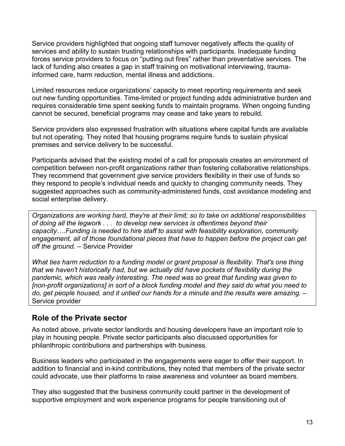Service providers highlighted that ongoing staff turnover negatively affects the quality of services and ability to sustain trusting relationships with participants. Inadequate funding forces service providers to focus on "putting out fires" rather than preventative services. The lack of funding also creates a gap in staff training on motivational interviewing, traumainformed care, harm reduction, mental illness and addictions.

Limited resources reduce organizations' capacity to meet reporting requirements and seek out new funding opportunities. Time-limited or project funding adds administrative burden and requires considerable time spent seeking funds to maintain programs. When ongoing funding cannot be secured, beneficial programs may cease and take years to rebuild.

Service providers also expressed frustration with situations where capital funds are available but not operating. They noted that housing programs require funds to sustain physical premises and service delivery to be successful.

Participants advised that the existing model of a call for proposals creates an environment of competition between non-profit organizations rather than fostering collaborative relationships. They recommend that government give service providers flexibility in their use of funds so they respond to people's individual needs and quickly to changing community needs. They suggested approaches such as community-administered funds, cost avoidance modeling and social enterprise delivery.

*Organizations are working hard, they're at their limit; so to take on additional responsibilities of doing all the legwork . . . to develop new services is oftentimes beyond their capacity….Funding is needed to hire staff to assist with feasibility exploration, community engagement, all of those foundational pieces that have to happen before the project can get off the ground.* – Service Provider

*What ties harm reduction to a funding model or grant proposal is flexibility. That's one thing that we haven't historically had, but we actually did have pockets of flexibility during the pandemic, which was really interesting. The need was so great that funding was given to [non-profit organizations] in sort of a block funding model and they said do what you need to do, get people housed, and it untied our hands for a minute and the results were amazing.* – Service provider

#### **Role of the Private sector**

As noted above, private sector landlords and housing developers have an important role to play in housing people. Private sector participants also discussed opportunities for philanthropic contributions and partnerships with business.

Business leaders who participated in the engagements were eager to offer their support. In addition to financial and in-kind contributions, they noted that members of the private sector could advocate, use their platforms to raise awareness and volunteer as board members.

They also suggested that the business community could partner in the development of supportive employment and work experience programs for people transitioning out of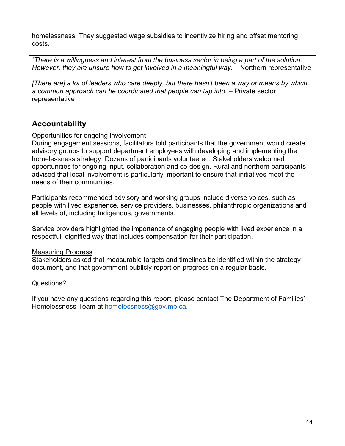homelessness. They suggested wage subsidies to incentivize hiring and offset mentoring costs.

*"There is a willingness and interest from the business sector in being a part of the solution. However, they are unsure how to get involved in a meaningful way.* – Northern representative

*[There are] a lot of leaders who care deeply, but there hasn't been a way or means by which a common approach can be coordinated that people can tap into.* – Private sector representative

## **Accountability**

#### Opportunities for ongoing involvement

During engagement sessions, facilitators told participants that the government would create advisory groups to support department employees with developing and implementing the homelessness strategy. Dozens of participants volunteered. Stakeholders welcomed opportunities for ongoing input, collaboration and co-design. Rural and northern participants advised that local involvement is particularly important to ensure that initiatives meet the needs of their communities.

Participants recommended advisory and working groups include diverse voices, such as people with lived experience, service providers, businesses, philanthropic organizations and all levels of, including Indigenous, governments.

Service providers highlighted the importance of engaging people with lived experience in a respectful, dignified way that includes compensation for their participation.

#### Measuring Progress

Stakeholders asked that measurable targets and timelines be identified within the strategy document, and that government publicly report on progress on a regular basis.

#### Questions?

If you have any questions regarding this report, please contact The Department of Families' Homelessness Team at [homelessness@gov.mb.ca.](mailto:homelessness@gov.mb.ca)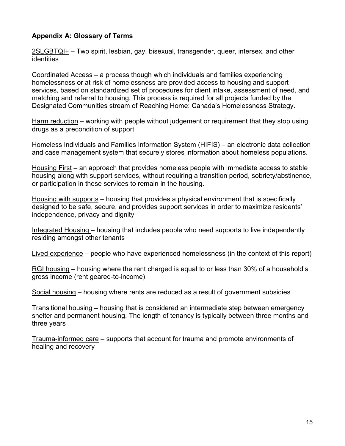#### **Appendix A: Glossary of Terms**

2SLGBTQI+ – Two spirit, lesbian, gay, bisexual, transgender, queer, intersex, and other identities

Coordinated Access – a process though which individuals and families experiencing homelessness or at risk of homelessness are provided access to housing and support services, based on standardized set of procedures for client intake, assessment of need, and matching and referral to housing. This process is required for all projects funded by the Designated Communities stream of Reaching Home: Canada's Homelessness Strategy.

Harm reduction – working with people without judgement or requirement that they stop using drugs as a precondition of support

Homeless Individuals and Families Information System (HIFIS) – an electronic data collection and case management system that securely stores information about homeless populations.

Housing First – an approach that provides homeless people with immediate access to stable housing along with support services, without requiring a transition period, sobriety/abstinence, or participation in these services to remain in the housing.

Housing with supports – housing that provides a physical environment that is specifically designed to be safe, secure, and provides support services in order to maximize residents' independence, privacy and dignity

Integrated Housing – housing that includes people who need supports to live independently residing amongst other tenants

Lived experience – people who have experienced homelessness (in the context of this report)

RGI housing – housing where the rent charged is equal to or less than 30% of a household's gross income (rent geared-to-income)

Social housing – housing where rents are reduced as a result of government subsidies

Transitional housing – housing that is considered an intermediate step between emergency shelter and permanent housing. The length of tenancy is typically between three months and three years

Trauma-informed care – supports that account for trauma and promote environments of healing and recovery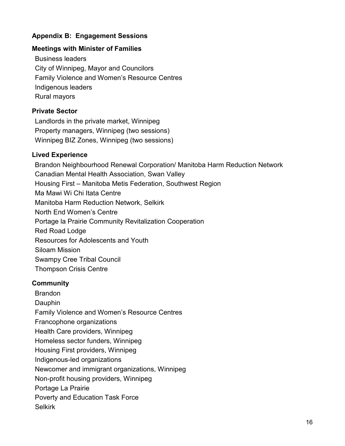#### **Appendix B: Engagement Sessions**

#### **Meetings with Minister of Families**

Business leaders City of Winnipeg, Mayor and Councilors Family Violence and Women's Resource Centres Indigenous leaders Rural mayors

#### **Private Sector**

Landlords in the private market, Winnipeg Property managers, Winnipeg (two sessions) Winnipeg BIZ Zones, Winnipeg (two sessions)

#### **Lived Experience**

Brandon Neighbourhood Renewal Corporation/ Manitoba Harm Reduction Network Canadian Mental Health Association, Swan Valley Housing First – Manitoba Metis Federation, Southwest Region Ma Mawi Wi Chi Itata Centre Manitoba Harm Reduction Network, Selkirk North End Women's Centre Portage la Prairie Community Revitalization Cooperation Red Road Lodge Resources for Adolescents and Youth Siloam Mission Swampy Cree Tribal Council Thompson Crisis Centre

#### **Community**

Brandon Dauphin Family Violence and Women's Resource Centres Francophone organizations Health Care providers, Winnipeg Homeless sector funders, Winnipeg Housing First providers, Winnipeg Indigenous-led organizations Newcomer and immigrant organizations, Winnipeg Non-profit housing providers, Winnipeg Portage La Prairie Poverty and Education Task Force Selkirk